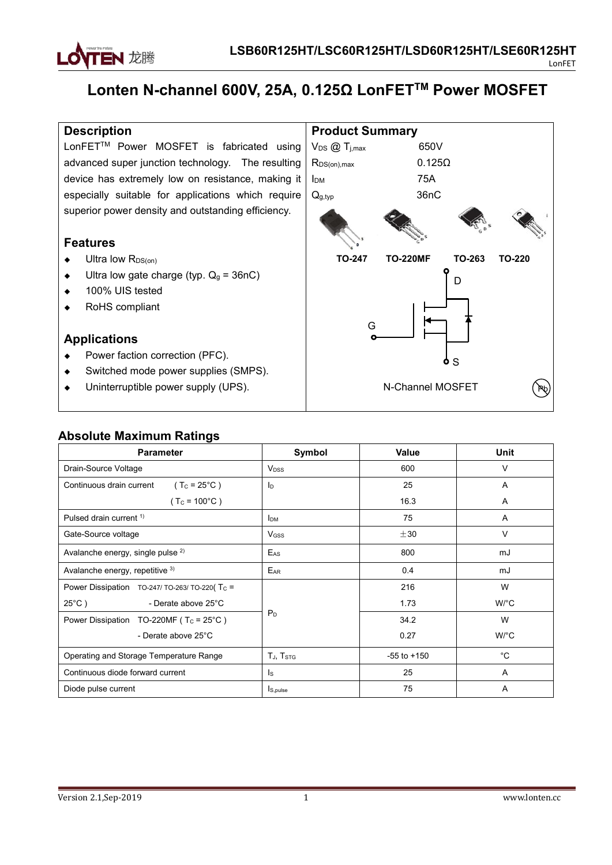

# **Lonten N-channel 600V, 25A, 0.125Ω LonFET TM Power MOSFET**

### **Description**

LonFET<sup>TM</sup> Power MOSFET is fabricated using  $\mid V_{DS}$  @ T<sub>j,max</sub> advanced super junction technology. The resulting device has extremely low on resistance, making it  $\vert$  l<sub>DM</sub> especially suitable for applications which require  $\log_{10}$ superior power density and outstanding efficiency.

### **Features**

- $\bullet$  Ultra low R<sub>DS(on)</sub>
- $\bullet$  Ultra low gate charge (typ.  $Q_g = 36nC$ )
- ◆ 100% UIS tested
- ◆ RoHS compliant

### **Applications**

- ◆ Power faction correction (PFC).
- ◆ Switched mode power supplies (SMPS).
- Uninterruptible power supply (UPS).



## **Absolute Maximum Ratings**

| <b>Parameter</b>                                   | Symbol                 | Value           | Unit                 |
|----------------------------------------------------|------------------------|-----------------|----------------------|
| Drain-Source Voltage                               | V <sub>DSS</sub>       | 600             | V                    |
| Continuous drain current<br>$(TC = 25°C)$          | Iр                     | 25              | A                    |
| $(T_c = 100^{\circ}C)$                             |                        | 16.3            | Α                    |
| Pulsed drain current <sup>1)</sup>                 | <b>I</b> <sub>DM</sub> | 75              | A                    |
| Gate-Source voltage                                | $V$ <sub>GSS</sub>     | ±30             | $\vee$               |
| Avalanche energy, single pulse <sup>2)</sup>       | $E_{AS}$               | 800             | mJ                   |
| Avalanche energy, repetitive 3)                    | E <sub>AR</sub>        | 0.4             | mJ                   |
| Power Dissipation TO-247/TO-263/TO-220(Tc =        |                        | 216             | W                    |
| $25^{\circ}$ C)<br>- Derate above 25°C             |                        | 1.73            | $W$ <sup>o</sup> $C$ |
| Power Dissipation TO-220MF ( $T_c = 25^{\circ}C$ ) | $P_D$                  | 34.2            | W                    |
| - Derate above 25°C                                |                        | 0.27            | $W$ <sup>o</sup> $C$ |
| Operating and Storage Temperature Range            | TJ, TSTG               | $-55$ to $+150$ | $^{\circ}$ C         |
| Continuous diode forward current                   | Is                     | 25              | Α                    |
| Diode pulse current                                | I <sub>S, pulse</sub>  | 75              | A                    |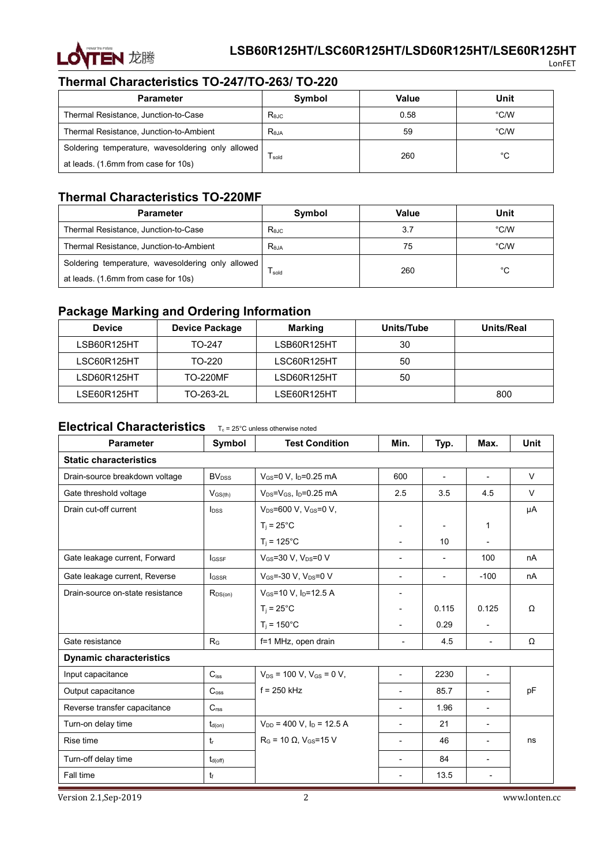

## **Thermal Characteristics TO-247/TO-263/ TO-220**

| <b>Parameter</b>                                  | Symbol                      | Value | Unit |
|---------------------------------------------------|-----------------------------|-------|------|
| Thermal Resistance, Junction-to-Case              | $R_{\theta$ J $C}$          | 0.58  | °C/W |
| Thermal Resistance, Junction-to-Ambient           | $\mathsf{R}_{\texttt{6JA}}$ | 59    | °C/W |
| Soldering temperature, wavesoldering only allowed |                             | 260   | °C   |
| at leads. (1.6mm from case for 10s)               | l sold                      |       |      |

## **Thermal Characteristics TO-220MF**

| <b>Parameter</b>                                  | Symbol         | Value | Unit |
|---------------------------------------------------|----------------|-------|------|
| Thermal Resistance, Junction-to-Case              | Rejc           | 3.7   | °C/W |
| Thermal Resistance, Junction-to-Ambient           | $R_{\theta$ JA | 75    | °C/W |
| Soldering temperature, wavesoldering only allowed |                | 260   | °C   |
| at leads. (1.6mm from case for 10s)               | l sold         |       |      |

## **Package Marking and Ordering Information**

| <b>Device</b> | <b>Device Package</b> | Marking     | Units/Tube | Units/Real |
|---------------|-----------------------|-------------|------------|------------|
| LSB60R125HT   | TO-247                | LSB60R125HT | 30         |            |
| LSC60R125HT   | TO-220                | LSC60R125HT | 50         |            |
| LSD60R125HT   | <b>TO-220MF</b>       | LSD60R125HT | 50         |            |
| LSE60R125HT   | TO-263-2L             | LSE60R125HT |            | 800        |

## **Electrical Characteristics** T<sub>c</sub> = 25°C unless otherwise noted

| <b>Parameter</b>                 | Symbol                   | <b>Test Condition</b>                         | Min.                     | Typ.                     | Max.                     | Unit   |
|----------------------------------|--------------------------|-----------------------------------------------|--------------------------|--------------------------|--------------------------|--------|
| <b>Static characteristics</b>    |                          |                                               |                          |                          |                          |        |
| Drain-source breakdown voltage   | <b>BV</b> <sub>DSS</sub> | V <sub>GS</sub> =0 V, I <sub>D</sub> =0.25 mA | 600                      | $\overline{a}$           | $\overline{a}$           | $\vee$ |
| Gate threshold voltage           | $V_{GS(th)}$             | $V_{DS} = V_{GS}$ , $I_D = 0.25$ mA           | 2.5                      | 3.5                      | 4.5                      | $\vee$ |
| Drain cut-off current            | $I_{DSS}$                | V <sub>DS</sub> =600 V, V <sub>GS</sub> =0 V, |                          |                          |                          | μA     |
|                                  |                          | $T_i = 25^{\circ}$ C                          | $\overline{\phantom{a}}$ |                          | $\mathbf{1}$             |        |
|                                  |                          | $T_i = 125^{\circ}C$                          | $\overline{\phantom{a}}$ | 10                       | $\overline{\phantom{0}}$ |        |
| Gate leakage current, Forward    | <b>IGSSF</b>             | VGS=30 V, VDS=0 V                             | $\overline{\phantom{a}}$ | $\overline{\phantom{a}}$ | 100                      | nA     |
| Gate leakage current, Reverse    | <b>I</b> GSSR            | $V_{GS} = -30 V$ , $V_{DS} = 0 V$             | $\overline{\phantom{a}}$ | $\overline{\phantom{a}}$ | $-100$                   | nA     |
| Drain-source on-state resistance | $R_{DS(on)}$             | $V_{GS}$ =10 V, $I_{D}$ =12.5 A               | $\overline{\phantom{a}}$ |                          |                          |        |
|                                  |                          | $T_i = 25^{\circ}$ C                          | $\overline{\phantom{a}}$ | 0.115                    | 0.125                    | Ω      |
|                                  |                          | $T_i = 150^{\circ}$ C                         | $\blacksquare$           | 0.29                     | $\overline{\phantom{a}}$ |        |
| Gate resistance                  | $R_{G}$                  | f=1 MHz, open drain                           | $\overline{\phantom{a}}$ | 4.5                      | $\overline{\phantom{a}}$ | Ω      |
| <b>Dynamic characteristics</b>   |                          |                                               |                          |                          |                          |        |
| Input capacitance                | $C_{iss}$                | $V_{DS}$ = 100 V, V <sub>GS</sub> = 0 V,      | $\overline{a}$           | 2230                     | $\overline{\phantom{a}}$ |        |
| Output capacitance               | $C_{\text{oss}}$         | $f = 250$ kHz                                 | $\overline{\phantom{a}}$ | 85.7                     | $\overline{\phantom{a}}$ | pF     |
| Reverse transfer capacitance     | C <sub>rss</sub>         |                                               | $\overline{\phantom{a}}$ | 1.96                     | $\overline{\phantom{a}}$ |        |
| Turn-on delay time               | $t_{d(on)}$              | $V_{DD}$ = 400 V, $I_D$ = 12.5 A              | $\overline{\phantom{a}}$ | 21                       | $\overline{\phantom{a}}$ |        |
| Rise time                        | $t_{r}$                  | $R_G = 10 \Omega$ , V <sub>GS</sub> =15 V     | $\overline{\phantom{a}}$ | 46                       | $\overline{\phantom{a}}$ | ns     |
| Turn-off delay time              | $t_{d(\text{off})}$      |                                               | $\overline{\phantom{a}}$ | 84                       | $\overline{\phantom{a}}$ |        |
| Fall time                        | t                        |                                               | $\overline{\phantom{a}}$ | 13.5                     | $\overline{\phantom{a}}$ |        |

Version 2.1,Sep-2019 2 www.lonten.cc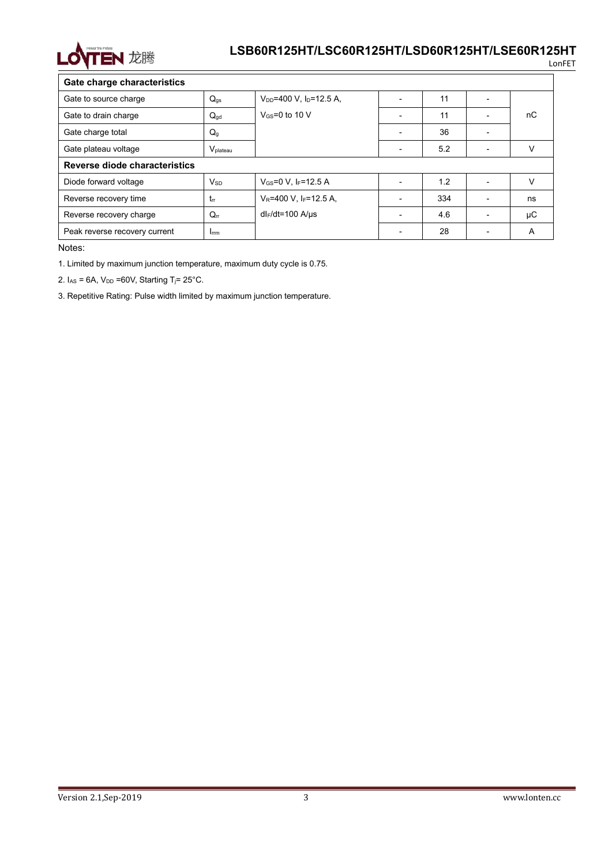

LonFET

| Gate charge characteristics   |                        |                                       |                          |     |                          |    |
|-------------------------------|------------------------|---------------------------------------|--------------------------|-----|--------------------------|----|
| Gate to source charge         | $Q_{gs}$               | $V_{DD} = 400 V$ , $I_D = 12.5 A$ ,   |                          | 11  | $\overline{\phantom{a}}$ |    |
| Gate to drain charge          | $Q_{gd}$               | $V$ <sub>GS</sub> =0 to 10 V          |                          | 11  | $\overline{\phantom{a}}$ | nC |
| Gate charge total             | $Q_q$                  |                                       |                          | 36  | $\overline{\phantom{0}}$ |    |
| Gate plateau voltage          | V <sub>plateau</sub>   |                                       |                          | 5.2 | $\overline{\phantom{a}}$ |    |
| Reverse diode characteristics |                        |                                       |                          |     |                          |    |
| Diode forward voltage         | <b>V</b> <sub>SD</sub> | $V_{GS} = 0 V$ , IF=12.5 A            |                          | 1.2 | $\overline{\phantom{0}}$ | V  |
| Reverse recovery time         | $t_{rr}$               | $V_R$ =400 V, I <sub>F</sub> =12.5 A, |                          | 334 | $\overline{\phantom{a}}$ | ns |
| Reverse recovery charge       | $Q_{rr}$               | $dl_F/dt = 100$ A/us                  |                          | 4.6 | $\overline{\phantom{a}}$ | μC |
| Peak reverse recovery current | <b>I</b> <sub>rm</sub> |                                       | $\overline{\phantom{a}}$ | 28  | $\overline{\phantom{0}}$ | Α  |

Notes:

1. Limited by maximum junction temperature, maximum duty cycle is 0.75.

2.  $I_{AS} = 6A$ ,  $V_{DD} = 60V$ , Starting T<sub>j</sub>= 25°C.

3. Repetitive Rating: Pulse width limited by maximum junction temperature.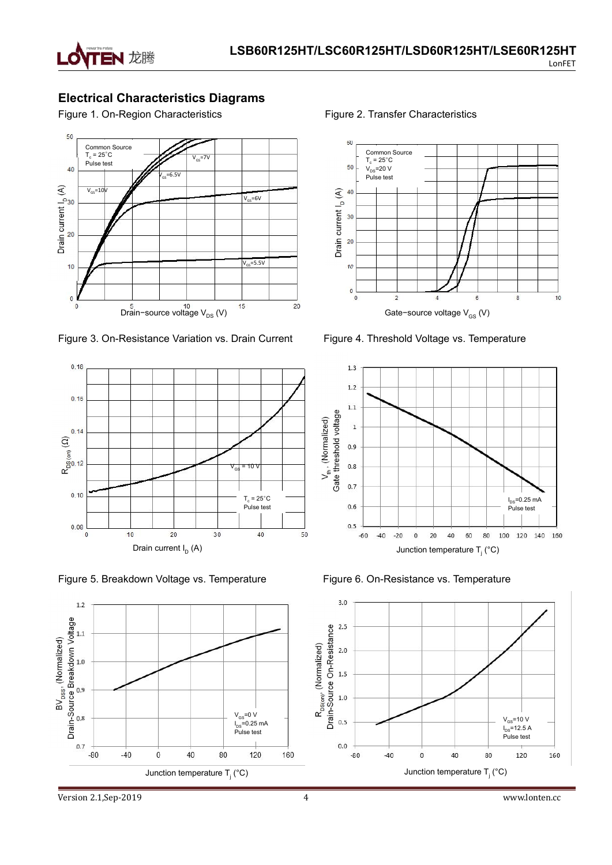

## **Electrical Characteristics Diagrams**

Figure 1. On-Region Characteristics Figure 2. Transfer Characteristics



Figure 3. On-Resistance Variation vs. Drain Current Figure 4. Threshold Voltage vs. Temperature



Figure 5. Breakdown Voltage vs. Temperature Figure 6. On-Resistance vs. Temperature







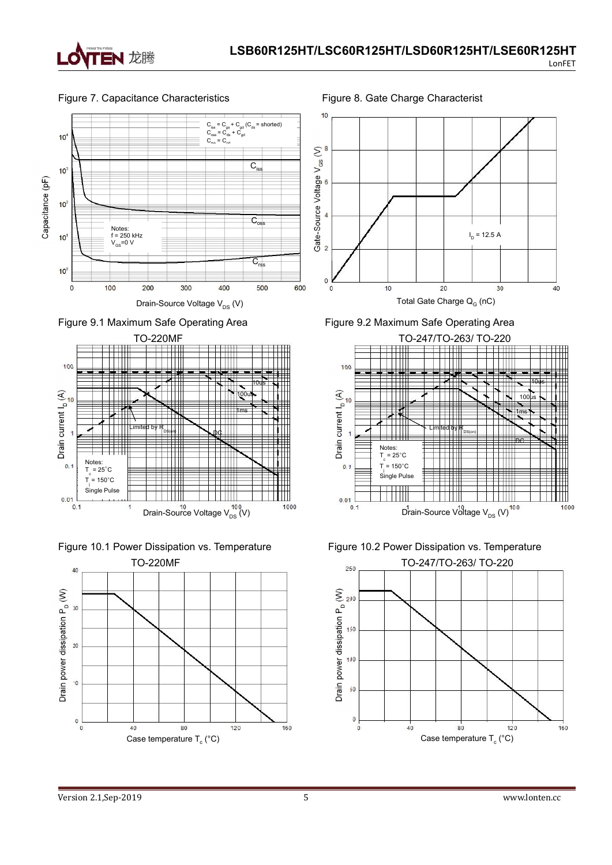

#### Figure 7. Capacitance Characteristics Figure 8. Gate Charge Characterist















Total Gate Charge  $\mathsf{Q}_{_{\mathrm{G}}}$  (nC)







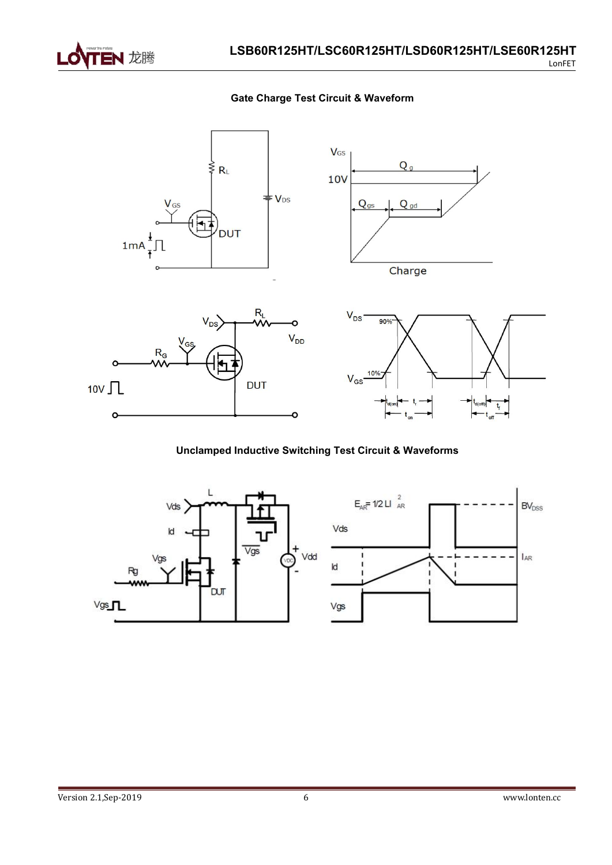

 $\epsilon$ 

**Gate Charge Test Circuit & Waveform**



**Unclamped Inductive Switching Test Circuit & Waveforms**

ò



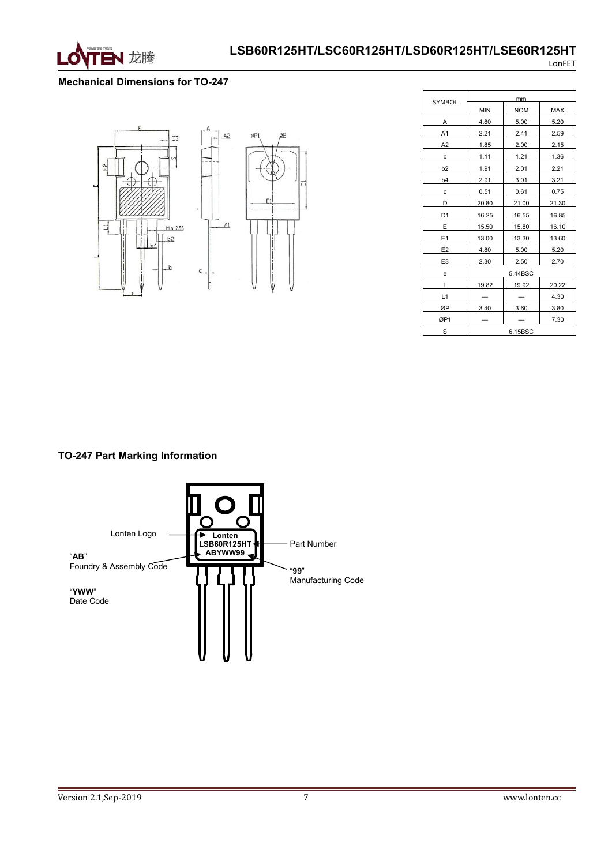

#### **Mechanical Dimensions for TO-247**



| <b>SYMBOL</b>  |            | mm         |       |
|----------------|------------|------------|-------|
|                | <b>MIN</b> | <b>NOM</b> | MAX   |
| А              | 4.80       | 5.00       | 5.20  |
| A1             | 2.21       | 2.41       | 2.59  |
| A <sub>2</sub> | 1.85       | 2.00       | 2.15  |
| b              | 1.11       | 1.21       | 1.36  |
| b <sub>2</sub> | 1.91       | 2.01       | 2.21  |
| b <sub>4</sub> | 2.91       | 3.01       | 3.21  |
| с              | 0.51       | 0.61       | 0.75  |
| D              | 20.80      | 21.00      | 21.30 |
| D <sub>1</sub> | 16.25      | 16.55      | 16.85 |
| Ε              | 15.50      | 15.80      | 16.10 |
| E1             | 13.00      | 13.30      | 13.60 |
| E <sub>2</sub> | 4.80       | 5.00       | 5.20  |
| E <sub>3</sub> | 2.30       | 2.50       | 2.70  |
| е              |            | 5.44BSC    |       |
| Г              | 19.82      | 19.92      | 20.22 |
| L1             |            |            | 4.30  |
| ØP             | 3.40       | 3.60       | 3.80  |
| ØP1            |            |            | 7.30  |
| S              |            | 6.15BSC    |       |

#### **TO-247 Part Marking Information**

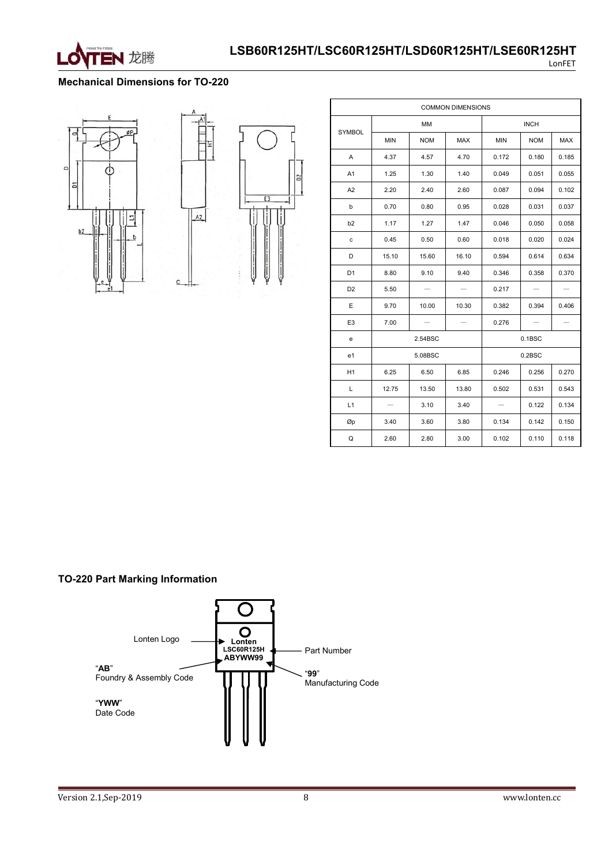

#### **Mechanical Dimensions for TO-220**



|                                   |                          |            | <b>COMMON DIMENSIONS</b> |                   |                   |       |
|-----------------------------------|--------------------------|------------|--------------------------|-------------------|-------------------|-------|
|                                   |                          | MM         |                          |                   | <b>INCH</b>       |       |
| SYMBOL                            | MIN                      | <b>NOM</b> | MAX                      | MIN               | <b>NOM</b>        | MAX   |
| Α                                 | 4.37                     | 4.57       | 4.70                     | 0.172             | 0.180             | 0.185 |
| A <sub>1</sub>                    | 1.25                     | 1.30       | 1.40                     | 0.049             | 0.051             | 0.055 |
| A <sub>2</sub>                    | 2.20                     | 2.40       | 2.60                     | 0.087             | 0.094             | 0.102 |
| b                                 | 0.70                     | 0.80       | 0.95                     | 0.028             | 0.031             | 0.037 |
| b <sub>2</sub>                    | 1.17                     | 1.27       | 1.47                     | 0.046             | 0.050             | 0.058 |
| $\mathbf{C}$                      | 0.45                     | 0.50       | 0.60                     | 0.018             | 0.020             | 0.024 |
| D                                 | 15.10                    | 15.60      | 16.10                    | 0.594             | 0.614             | 0.634 |
| D <sub>1</sub>                    | 8.80                     | 9.10       | 9.40                     | 0.346             | 0.358             | 0.370 |
| D <sub>2</sub>                    | 5.50                     |            |                          | 0.217             |                   |       |
| E                                 | 9.70                     | 10.00      | 10.30                    | 0.382             | 0.394             | 0.406 |
| E <sub>3</sub>                    | 7.00                     |            |                          | 0.276             | $\qquad \qquad -$ | —     |
| $\mathsf{e}% _{t}\left( t\right)$ |                          | 2.54BSC    |                          |                   | 0.1BSC            |       |
| e <sub>1</sub>                    |                          | 5.08BSC    |                          |                   | 0.2BSC            |       |
| H1                                | 6.25                     | 6.50       | 6.85                     | 0.246             | 0.256             | 0.270 |
| L                                 | 12.75                    | 13.50      | 13.80                    | 0.502             | 0.531             | 0.543 |
| L1                                | $\overline{\phantom{m}}$ | 3.10       | 3.40                     | $\qquad \qquad -$ | 0.122             | 0.134 |
| Øp                                | 3.40                     | 3.60       | 3.80                     | 0.134             | 0.142             | 0.150 |
| Q                                 | 2.60                     | 2.80       | 3.00                     | 0.102             | 0.110             | 0.118 |

#### **TO-220 Part Marking Information**

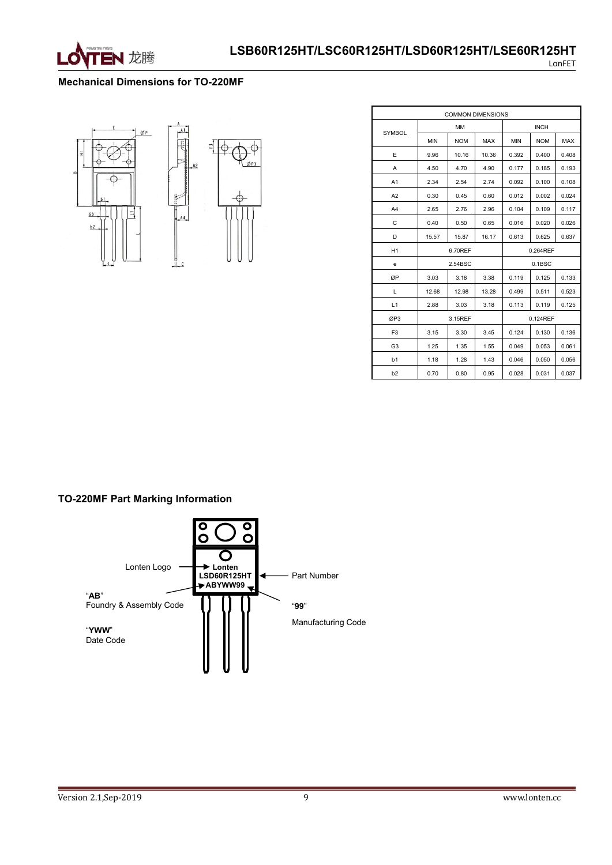

#### **Mechanical Dimensions for TO-220MF**



|                |            | <b>COMMON DIMENSIONS</b> |            |            |             |            |
|----------------|------------|--------------------------|------------|------------|-------------|------------|
| <b>SYMBOL</b>  |            | MM                       |            |            | <b>INCH</b> |            |
|                | <b>MIN</b> | <b>NOM</b>               | <b>MAX</b> | <b>MIN</b> | <b>NOM</b>  | <b>MAX</b> |
| E              | 9.96       | 10.16                    | 10.36      | 0.392      | 0.400       | 0.408      |
| Α              | 4.50       | 4.70                     | 4.90       | 0.177      | 0.185       | 0.193      |
| A <sub>1</sub> | 2.34       | 2.54                     | 2.74       | 0.092      | 0.100       | 0.108      |
| A2             | 0.30       | 0.45                     | 0.60       | 0.012      | 0.002       | 0.024      |
| A <sub>4</sub> | 2.65       | 2.76                     | 2.96       | 0.104      | 0.109       | 0.117      |
| C              | 0.40       | 0.50                     | 0.65       | 0.016      | 0.020       | 0.026      |
| D              | 15.57      | 15.87                    | 16.17      | 0.613      | 0.625       | 0.637      |
| H1             |            | 6.70REF                  |            |            | 0.264REF    |            |
| e              |            | 2.54BSC                  |            |            | 0.1BSC      |            |
| ØP             | 3.03       | 3.18                     | 3.38       | 0.119      | 0.125       | 0.133      |
| Г              | 12.68      | 12.98                    | 13.28      | 0.499      | 0.511       | 0.523      |
| L1             | 2.88       | 3.03                     | 3.18       | 0.113      | 0.119       | 0.125      |
| ØP3            |            | 3.15REF                  |            |            | 0.124REF    |            |
| F <sub>3</sub> | 3.15       | 3.30                     | 3.45       | 0.124      | 0.130       | 0.136      |
| G <sub>3</sub> | 1.25       | 1.35                     | 1.55       | 0.049      | 0.053       | 0.061      |
| b1             | 1.18       | 1.28                     | 1.43       | 0.046      | 0.050       | 0.056      |
| b2             | 0.70       | 0.80                     | 0.95       | 0.028      | 0.031       | 0.037      |

### **TO-220MF Part Marking Information**

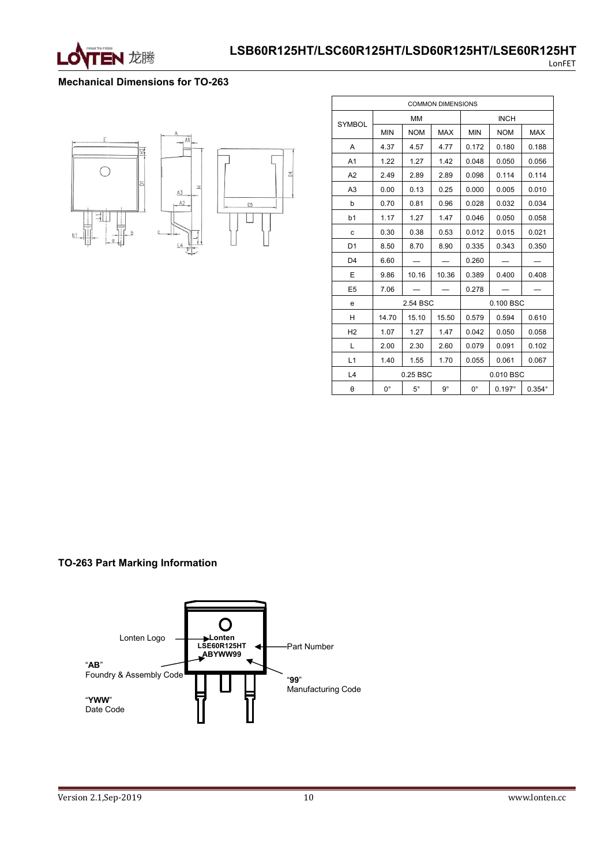

#### **Mechanical Dimensions for TO-263**



| <b>COMMON DIMENSIONS</b> |             |            |             |             |               |               |
|--------------------------|-------------|------------|-------------|-------------|---------------|---------------|
| <b>SYMBOL</b>            |             | MM         |             | <b>INCH</b> |               |               |
|                          | <b>MIN</b>  | <b>NOM</b> | <b>MAX</b>  | <b>MIN</b>  | <b>NOM</b>    | <b>MAX</b>    |
| A                        | 4.37        | 4.57       | 4.77        | 0.172       | 0.180         | 0.188         |
| A <sub>1</sub>           | 1.22        | 1.27       | 1.42        | 0.048       | 0.050         | 0.056         |
| A2                       | 2.49        | 2.89       | 2.89        | 0.098       | 0.114         | 0.114         |
| A <sub>3</sub>           | 0.00        | 0.13       | 0.25        | 0.000       | 0.005         | 0.010         |
| b                        | 0.70        | 0.81       | 0.96        | 0.028       | 0.032         | 0.034         |
| b1                       | 1.17        | 1.27       | 1.47        | 0.046       | 0.050         | 0.058         |
| c                        | 0.30        | 0.38       | 0.53        | 0.012       | 0.015         | 0.021         |
| D <sub>1</sub>           | 8.50        | 8.70       | 8.90        | 0.335       | 0.343         | 0.350         |
| D <sub>4</sub>           | 6.60        |            |             | 0.260       |               |               |
| E                        | 9.86        | 10.16      | 10.36       | 0.389       | 0.400         | 0.408         |
| E <sub>5</sub>           | 7.06        |            |             | 0.278       |               |               |
| e                        |             | 2.54 BSC   |             |             | 0.100 BSC     |               |
| H                        | 14.70       | 15.10      | 15.50       | 0.579       | 0.594         | 0.610         |
| H <sub>2</sub>           | 1.07        | 1.27       | 1.47        | 0.042       | 0.050         | 0.058         |
| L                        | 2.00        | 2.30       | 2.60        | 0.079       | 0.091         | 0.102         |
| L1                       | 1.40        | 1.55       | 1.70        | 0.055       | 0.061         | 0.067         |
| L4                       |             | 0.25 BSC   |             |             | 0.010 BSC     |               |
| θ                        | $0^{\circ}$ | $5^\circ$  | $9^{\circ}$ | $0^{\circ}$ | $0.197^\circ$ | $0.354^\circ$ |

#### **TO-263 Part Marking Information**



Version 2.1, Sep-2019 10 www.lonten.cc